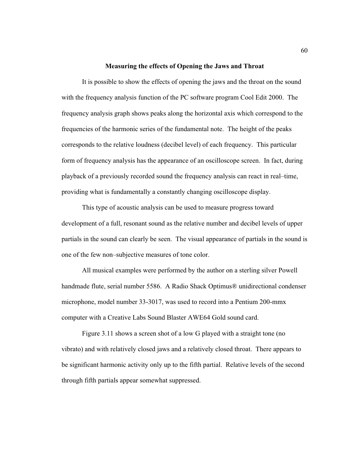## **Measuring the effects of Opening the Jaws and Throat**

It is possible to show the effects of opening the jaws and the throat on the sound with the frequency analysis function of the PC software program Cool Edit 2000. The frequency analysis graph shows peaks along the horizontal axis which correspond to the frequencies of the harmonic series of the fundamental note. The height of the peaks corresponds to the relative loudness (decibel level) of each frequency. This particular form of frequency analysis has the appearance of an oscilloscope screen. In fact, during playback of a previously recorded sound the frequency analysis can react in real–time, providing what is fundamentally a constantly changing oscilloscope display.

 This type of acoustic analysis can be used to measure progress toward development of a full, resonant sound as the relative number and decibel levels of upper partials in the sound can clearly be seen. The visual appearance of partials in the sound is one of the few non–subjective measures of tone color.

 All musical examples were performed by the author on a sterling silver Powell handmade flute, serial number 5586. A Radio Shack Optimus® unidirectional condenser microphone, model number 33-3017, was used to record into a Pentium 200-mmx computer with a Creative Labs Sound Blaster AWE64 Gold sound card.

 Figure 3.11 shows a screen shot of a low G played with a straight tone (no vibrato) and with relatively closed jaws and a relatively closed throat. There appears to be significant harmonic activity only up to the fifth partial. Relative levels of the second through fifth partials appear somewhat suppressed.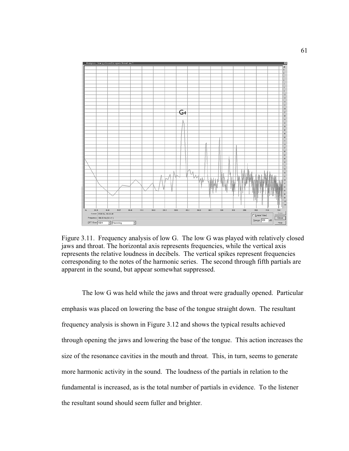

Figure 3.11. Frequency analysis of low G. The low G was played with relatively closed jaws and throat. The horizontal axis represents frequencies, while the vertical axis represents the relative loudness in decibels. The vertical spikes represent frequencies corresponding to the notes of the harmonic series. The second through fifth partials are apparent in the sound, but appear somewhat suppressed.

The low G was held while the jaws and throat were gradually opened. Particular emphasis was placed on lowering the base of the tongue straight down. The resultant frequency analysis is shown in Figure 3.12 and shows the typical results achieved through opening the jaws and lowering the base of the tongue. This action increases the size of the resonance cavities in the mouth and throat. This, in turn, seems to generate more harmonic activity in the sound. The loudness of the partials in relation to the fundamental is increased, as is the total number of partials in evidence. To the listener the resultant sound should seem fuller and brighter.